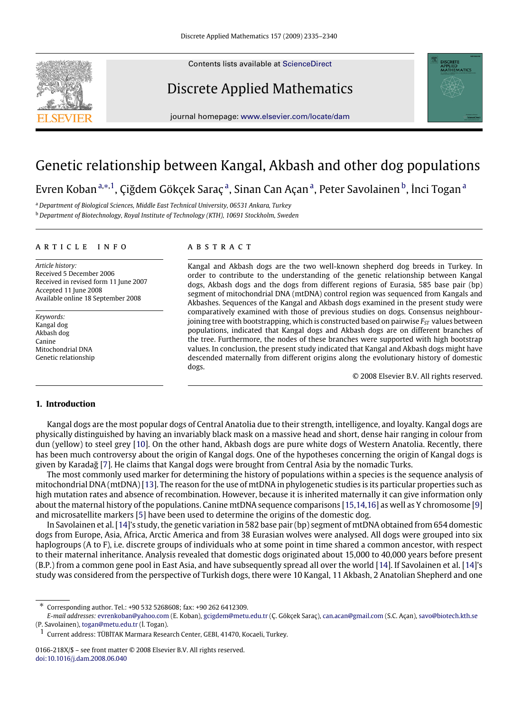Contents lists available at [ScienceDirect](http://www.elsevier.com/locate/dam)

# Discrete Applied Mathematics



# Genetic relationship between Kangal, Akbash and other dog populations

Evren Kob[a](#page-0-0)n ª.\*<sup>, 1</sup>, Çiğdem Gökçek Saraç ª, Sinan Can Açan ª, Peter Savolainen <sup>[b](#page-0-3)</sup>, İnci Togan ª

<span id="page-0-0"></span><sup>a</sup> *Department of Biological Sciences, Middle East Technical University, 06531 Ankara, Turkey*

<span id="page-0-3"></span><sup>b</sup> *Department of Biotechnology, Royal Institute of Technology (KTH), 10691 Stockholm, Sweden*

### a r t i c l e i n f o

*Article history:* Received 5 December 2006 Received in revised form 11 June 2007 Accepted 11 June 2008 Available online 18 September 2008

*Keywords:* Kangal dog Akbash dog Canine Mitochondrial DNA Genetic relationship

## a b s t r a c t

Kangal and Akbash dogs are the two well-known shepherd dog breeds in Turkey. In order to contribute to the understanding of the genetic relationship between Kangal dogs, Akbash dogs and the dogs from different regions of Eurasia, 585 base pair (bp) segment of mitochondrial DNA (mtDNA) control region was sequenced from Kangals and Akbashes. Sequences of the Kangal and Akbash dogs examined in the present study were comparatively examined with those of previous studies on dogs. Consensus neighbourjoining tree with bootstrapping, which is constructed based on pairwise  $F_{ST}$  values between populations, indicated that Kangal dogs and Akbash dogs are on different branches of the tree. Furthermore, the nodes of these branches were supported with high bootstrap values. In conclusion, the present study indicated that Kangal and Akbash dogs might have descended maternally from different origins along the evolutionary history of domestic dogs.

© 2008 Elsevier B.V. All rights reserved.

**APPLIED<br>MATHEMATICS** 

## **1. Introduction**

Kangal dogs are the most popular dogs of Central Anatolia due to their strength, intelligence, and loyalty. Kangal dogs are physically distinguished by having an invariably black mask on a massive head and short, dense hair ranging in colour from dun (yellow) to steel grey [\[10\]](#page-5-0). On the other hand, Akbash dogs are pure white dogs of Western Anatolia. Recently, there has been much controversy about the origin of Kangal dogs. One of the hypotheses concerning the origin of Kangal dogs is given by Karadağ [\[7\]](#page-5-1). He claims that Kangal dogs were brought from Central Asia by the nomadic Turks.

The most commonly used marker for determining the history of populations within a species is the sequence analysis of mitochondrial DNA (mtDNA) [\[13\]](#page-5-2). The reason for the use of mtDNA in phylogenetic studies is its particular properties such as high mutation rates and absence of recombination. However, because it is inherited maternally it can give information only about the maternal history of the populations. Canine mtDNA sequence comparisons [\[15](#page-5-3)[,14,](#page-5-4)[16\]](#page-5-5) as well as Y chromosome [\[9\]](#page-5-6) and microsatellite markers [\[5\]](#page-5-7) have been used to determine the origins of the domestic dog.

In Savolainen et al. [\[14\]](#page-5-4)'s study, the genetic variation in 582 base pair (bp) segment of mtDNA obtained from 654 domestic dogs from Europe, Asia, Africa, Arctic America and from 38 Eurasian wolves were analysed. All dogs were grouped into six haplogroups (A to F), i.e. discrete groups of individuals who at some point in time shared a common ancestor, with respect to their maternal inheritance. Analysis revealed that domestic dogs originated about 15,000 to 40,000 years before present (B.P.) from a common gene pool in East Asia, and have subsequently spread all over the world [\[14\]](#page-5-4). If Savolainen et al. [\[14\]](#page-5-4)'s study was considered from the perspective of Turkish dogs, there were 10 Kangal, 11 Akbash, 2 Anatolian Shepherd and one



<span id="page-0-1"></span><sup>∗</sup> Corresponding author. Tel.: +90 532 5268608; fax: +90 262 6412309.

*E-mail addresses:* [evrenkoban@yahoo.com](mailto:evrenkoban@yahoo.com) (E. Koban), [gcigdem@metu.edu.tr](mailto:gcigdem@metu.edu.tr) (Ç. Gökçek Saraç), [can.acan@gmail.com](mailto:can.acan@gmail.com) (S.C. Açan), [savo@biotech.kth.se](mailto:savo@biotech.kth.se) (P. Savolainen), [togan@metu.edu.tr](mailto:togan@metu.edu.tr) (İ. Togan).

<span id="page-0-2"></span><sup>1</sup> Current address: TÜBİTAK Marmara Research Center, GEBI, 41470, Kocaeli, Turkey.

<sup>0166-218</sup>X/\$ – see front matter © 2008 Elsevier B.V. All rights reserved. [doi:10.1016/j.dam.2008.06.040](http://dx.doi.org/10.1016/j.dam.2008.06.040)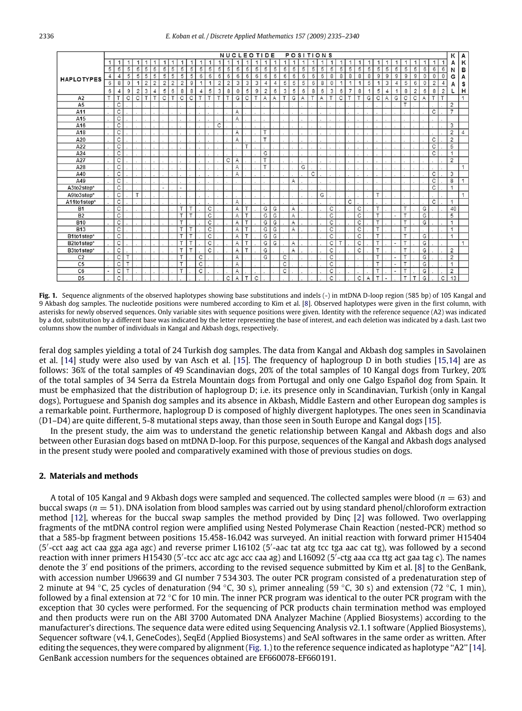<span id="page-1-0"></span>

|                   | <b>NUCLEOTIDE</b><br><b>POSITIONS</b> |                       |              |                         |                         |                |                |                |                |   |   |                         |                         |                | κ | А |   |                |   |   |   |                |   |   |   |   |                |   |                |                |                              |                          |                         |                |   |                |                |                |              |
|-------------------|---------------------------------------|-----------------------|--------------|-------------------------|-------------------------|----------------|----------------|----------------|----------------|---|---|-------------------------|-------------------------|----------------|---|---|---|----------------|---|---|---|----------------|---|---|---|---|----------------|---|----------------|----------------|------------------------------|--------------------------|-------------------------|----------------|---|----------------|----------------|----------------|--------------|
|                   |                                       |                       |              |                         |                         |                |                |                |                |   |   |                         |                         | 1              |   |   | 1 | 1              | 1 | 1 | 1 | $\overline{1}$ |   |   |   |   |                |   |                |                |                              |                          |                         |                |   |                |                | А              | к            |
| <b>HAPLOTYPES</b> | 5                                     | 5                     | 5            | 5                       | 5                       | 5              | 5              | 5              | 5              | 5 | 5 | 5                       | 5                       | 5              | 5 | 5 | 5 | 5              | 5 | 5 | 5 | 5              | 5 | 5 | 5 | 5 | 5              | 5 | 5              | 5              | 5                            | $\overline{5}$           | 5                       | $\overline{5}$ | 6 | 6              | 6              | N              | в            |
|                   | 4                                     | $\overline{4}$        | 5            | 5                       | 5                       | 5              | 5              | 5              | 5              | 5 | 6 | 6                       | 6                       | 6              | 6 | 6 | 6 | 6              | 6 | 6 | 6 | 6              | 6 | 6 | 8 | 8 | 8              | 8 | 8              | $\overline{9}$ | 9                            | 9                        | 9                       | 9              | 0 | 0              | 0              | G              | А            |
|                   | 6                                     | 8                     | $\mathbf{0}$ | $\mathbf{1}$            | $\overline{2}$          | $\overline{2}$ | $\overline{2}$ | $\overline{2}$ | $\overline{2}$ | 9 | 1 | 1                       | $\overline{c}$          | $\overline{c}$ | 3 | 3 | 3 | 4              | 4 | 5 | 5 | 5              | 6 | 8 | 0 | 1 | 1              | 1 | 5              | 1              | 3                            | 4                        | 5                       | 6              | 0 | $\overline{2}$ | 4              |                | s            |
|                   | 6                                     | $\overline{4}$        | 9            | $\overline{c}$          | 3                       | 4              | 5              | 6              | 8              | 8 |   | 5                       | 3                       | 8              | 0 | 5 | 9 | $\overline{2}$ | 6 | 3 | 5 | 6              | 8 | 6 | 3 | 6 | $\overline{7}$ | 8 | $\overline{ }$ | 5              | 4                            | 1                        | 8                       | $\overline{2}$ | 6 | 8              | $\overline{2}$ |                | н            |
| A <sub>2</sub>    | $\overline{\mathsf{r}}$               | T                     | С            | $\overline{\mathsf{c}}$ | $\overline{\mathsf{r}}$ | T              | C              | T              | C              | C | T | $\overline{\mathsf{r}}$ | $\overline{\mathsf{r}}$ | T              | G | C | T | A              | Α | T | G | A              | T | Α | Т | C | т              | T | G              | $\overline{C}$ | А                            | G                        | С                       | $\overline{C}$ | Α | T              | T              |                | $\mathbf{1}$ |
| A5                |                                       | C                     |              |                         |                         |                |                |                |                |   |   |                         |                         |                |   |   |   |                |   |   |   |                |   |   |   |   |                |   |                |                |                              |                          | $\overline{\mathbf{r}}$ |                |   |                |                | $\overline{2}$ |              |
| A11               |                                       | С                     |              |                         |                         |                |                |                |                |   |   |                         |                         |                | А |   |   |                |   |   |   |                |   |   |   |   |                |   |                |                |                              |                          |                         |                |   | C              |                | $\overline{7}$ |              |
| A15               |                                       | C                     |              |                         |                         |                |                |                |                |   |   |                         |                         |                | А |   |   |                |   |   |   |                |   |   |   |   |                |   |                |                |                              |                          |                         |                |   |                |                |                |              |
| A16               |                                       | $\overline{c}$        |              |                         |                         |                |                |                |                |   |   |                         | C                       |                |   |   |   |                |   |   |   |                |   |   |   |   |                |   |                |                |                              |                          |                         |                |   |                |                | 3              |              |
| A18               |                                       | $\overline{c}$        |              |                         |                         |                |                |                |                |   |   |                         |                         |                | А |   |   | T              |   |   |   |                |   |   |   |   |                |   |                |                |                              |                          |                         |                |   |                |                | $\overline{2}$ | 4            |
| A20               |                                       | C                     |              |                         |                         |                |                |                |                |   |   |                         |                         |                | А |   |   | T              |   |   |   |                |   |   |   |   |                |   |                |                |                              |                          |                         |                |   | C              |                | $\overline{2}$ |              |
| A22               |                                       | C                     |              |                         |                         |                |                |                |                |   |   |                         |                         |                |   |   |   |                |   |   |   |                |   |   |   |   |                |   |                |                |                              |                          |                         |                |   | С              |                | 5              |              |
| A24               |                                       | С                     |              |                         |                         |                |                |                |                |   |   |                         |                         |                |   |   |   | G              |   |   |   |                |   |   |   |   |                |   |                |                |                              |                          |                         |                |   | С              |                | 1              |              |
| A27               |                                       | $\overline{c}$        |              |                         |                         |                |                |                |                |   |   |                         |                         | C              | А |   |   | T              |   |   |   |                |   |   |   |   |                |   |                |                |                              |                          |                         |                |   |                |                | $\overline{2}$ |              |
| A28               |                                       | C                     |              |                         |                         |                |                |                |                |   |   |                         |                         |                | А |   |   | T              |   |   |   | G              |   |   |   |   |                |   |                |                |                              |                          |                         |                |   |                |                |                | 1            |
| A40               |                                       | C                     |              |                         |                         |                |                |                |                |   |   |                         |                         |                | А |   |   |                |   |   |   |                | C |   |   |   |                |   |                |                |                              |                          |                         |                |   | C              |                | 3              |              |
| A49               |                                       | $\overline{C}$        |              |                         |                         |                |                |                |                |   |   |                         |                         |                |   |   |   |                |   |   | Α |                |   |   |   |   |                |   |                |                |                              |                          |                         |                |   | $\overline{c}$ |                | 8              | 1            |
| A3to2step*        |                                       | $\overline{C}$        |              |                         |                         |                | $\overline{a}$ |                |                |   |   |                         |                         |                |   |   |   |                |   |   |   |                |   |   |   |   |                |   |                |                |                              |                          |                         |                |   | C              |                | 1              |              |
| A9to3step*        |                                       | С                     |              | T                       |                         |                |                |                |                |   |   |                         |                         |                |   |   |   |                |   |   |   |                |   | G |   |   |                |   |                | T              |                              |                          |                         |                |   |                |                |                | 1            |
| A11to1step*       |                                       | C                     |              |                         |                         |                |                |                |                |   |   |                         |                         |                | А |   |   |                |   |   |   |                |   |   |   |   | С              |   |                |                |                              |                          |                         |                |   | C              |                | 1              |              |
| <b>B1</b>         |                                       | C                     |              |                         |                         |                |                |                | т              | T |   | C                       |                         |                | Α |   |   | G              | G |   | Α |                |   |   | C |   |                | C |                | т              |                              |                          |                         |                | G |                |                | 40             |              |
| B <sub>2</sub>    |                                       | $\overline{\text{c}}$ |              |                         |                         |                |                |                | т              | T |   | C                       |                         |                | А |   |   | G              | G |   | А |                |   |   | C |   |                | C |                | т              |                              | $\overline{\phantom{a}}$ | т                       |                | G |                |                | 5              |              |
| <b>B10</b>        |                                       | C                     |              |                         |                         |                |                |                | т              |   |   | C                       |                         |                | Α |   |   | G              | G |   | Α |                |   |   | C |   |                | C |                | T              |                              |                          |                         |                | G |                |                | 1              |              |
| <b>B13</b>        |                                       | C                     |              |                         |                         |                |                |                | т              | T |   | C                       |                         |                | Α | т |   | G              | G |   | Α |                |   |   | C |   |                | C |                | T              |                              |                          | т                       |                |   |                |                | 1              |              |
| B1to1step*        |                                       | C                     |              |                         |                         |                |                |                | Т              | T |   | C                       |                         |                | А |   |   | G              | G |   |   |                |   |   | C |   |                | C |                | Т              |                              |                          | т                       |                | G |                |                | 1              |              |
| B2to1step*        |                                       | $\overline{c}$        |              |                         |                         |                |                |                | т              | T |   | C                       |                         |                | A | T |   | G              | G |   | А |                |   |   | C | T |                | C |                | T              |                              | $\overline{\phantom{a}}$ | т                       |                | G |                |                |                | $\mathbf{1}$ |
| B3to1step*        |                                       | C                     |              |                         |                         |                |                |                | T              | T |   | С                       |                         |                | А | т |   | G              |   |   | A |                |   |   | С |   |                | С |                | T              |                              |                          | T                       |                | G |                |                | $\overline{2}$ |              |
| C <sub>2</sub>    |                                       | C                     |              |                         |                         |                |                |                | т              |   | C |                         |                         |                | А |   |   | G              |   | C |   |                |   |   | C |   |                |   |                | т              |                              |                          | $\tau$                  |                | G |                |                | $\overline{2}$ |              |
| C <sub>5</sub>    |                                       | C                     |              |                         |                         |                |                |                | т              |   | C |                         |                         |                | А |   |   |                |   | C |   |                |   |   | C |   |                |   |                | т              |                              | $\overline{\phantom{a}}$ |                         |                | G |                |                | 1              |              |
| C <sub>6</sub>    | $\overline{\phantom{a}}$              | C                     | т            |                         |                         |                |                |                | т              |   | C |                         |                         |                | А |   |   |                |   | C |   |                |   |   | C |   |                |   |                | т              |                              | $\overline{\phantom{a}}$ | $\mathbf \tau$          |                | G |                |                | $\overline{2}$ |              |
| D <sub>5</sub>    |                                       | C                     |              |                         |                         |                |                |                |                |   |   |                         |                         | C              | A | т | C |                |   |   |   |                |   |   | C |   |                | C | A              | $\mathbf \tau$ | $\qquad \qquad \blacksquare$ |                          | $\tau$                  | $\mathbf \tau$ | G |                | C              | 13             |              |

Fig. 1. Sequence alignments of the observed haplotypes showing base substitutions and indels (-) in mtDNA D-loop region (585 bp) of 105 Kangal and 9 Akbash dog samples. The nucleotide positions were numbered according to Kim et al. [\[8\]](#page-5-8). Observed haplotypes were given in the first column, with asterisks for newly observed sequences. Only variable sites with sequence positions were given. Identity with the reference sequence (A2) was indicated by a dot, substitution by a different base was indicated by the letter representing the base of interest, and each deletion was indicated by a dash. Last two columns show the number of individuals in Kangal and Akbash dogs, respectively.

feral dog samples yielding a total of 24 Turkish dog samples. The data from Kangal and Akbash dog samples in Savolainen et al. [\[14\]](#page-5-4) study were also used by van Asch et al. [\[15\]](#page-5-3). The frequency of haplogroup D in both studies [\[15,](#page-5-3)[14\]](#page-5-4) are as follows: 36% of the total samples of 49 Scandinavian dogs, 20% of the total samples of 10 Kangal dogs from Turkey, 20% of the total samples of 34 Serra da Estrela Mountain dogs from Portugal and only one Galgo Español dog from Spain. It must be emphasized that the distribution of haplogroup D; i.e. its presence only in Scandinavian, Turkish (only in Kangal dogs), Portuguese and Spanish dog samples and its absence in Akbash, Middle Eastern and other European dog samples is a remarkable point. Furthermore, haplogroup D is composed of highly divergent haplotypes. The ones seen in Scandinavia (D1–D4) are quite different, 5-8 mutational steps away, than those seen in South Europe and Kangal dogs [\[15\]](#page-5-3).

In the present study, the aim was to understand the genetic relationship between Kangal and Akbash dogs and also between other Eurasian dogs based on mtDNA D-loop. For this purpose, sequences of the Kangal and Akbash dogs analysed in the present study were pooled and comparatively examined with those of previous studies on dogs.

## **2. Materials and methods**

A total of 105 Kangal and 9 Akbash dogs were sampled and sequenced. The collected samples were blood ( $n = 63$ ) and buccal swaps (*n* = 51). DNA isolation from blood samples was carried out by using standard phenol/chloroform extraction method [\[12\]](#page-5-9), whereas for the buccal swap samples the method provided by Dinç [\[2\]](#page-5-10) was followed. Two overlapping fragments of the mtDNA control region were amplified using Nested Polymerase Chain Reaction (nested-PCR) method so that a 585-bp fragment between positions 15.458-16.042 was surveyed. An initial reaction with forward primer H15404 (5'-cct aag act caa gga aga agc) and reverse primer L16102 (5'-aac tat atg tcc tga aac cat tg), was followed by a second reaction with inner primers H15430 (5'-tcc acc atc agc acc caa ag) and L16092 (5'-ctg aaa cca ttg act gaa tag c). The names denote the 3' end positions of the primers, according to the revised sequence submitted by Kim et al. [\[8\]](#page-5-8) to the GenBank, with accession number U96639 and GI number 7 534 303. The outer PCR program consisted of a predenaturation step of 2 minute at 94 °C, 25 cycles of denaturation (94 °C, 30 s), primer annealing (59 °C, 30 s) and extension (72 °C, 1 min), followed by a final extension at 72  $\degree$ C for 10 min. The inner PCR program was identical to the outer PCR program with the exception that 30 cycles were performed. For the sequencing of PCR products chain termination method was employed and then products were run on the ABI 3700 Automated DNA Analyzer Machine (Applied Biosystems) according to the manufacturer's directions. The sequence data were edited using Sequencing Analysis v2.1.1 software (Applied Biosystems), Sequencer software (v4.1, GeneCodes), SeqEd (Applied Biosystems) and SeAl softwares in the same order as written. After editing the sequences, they were compared by alignment [\(Fig. 1.](#page-1-0)) to the reference sequence indicated as haplotype ''A2'' [\[14\]](#page-5-4). GenBank accession numbers for the sequences obtained are EF660078-EF660191.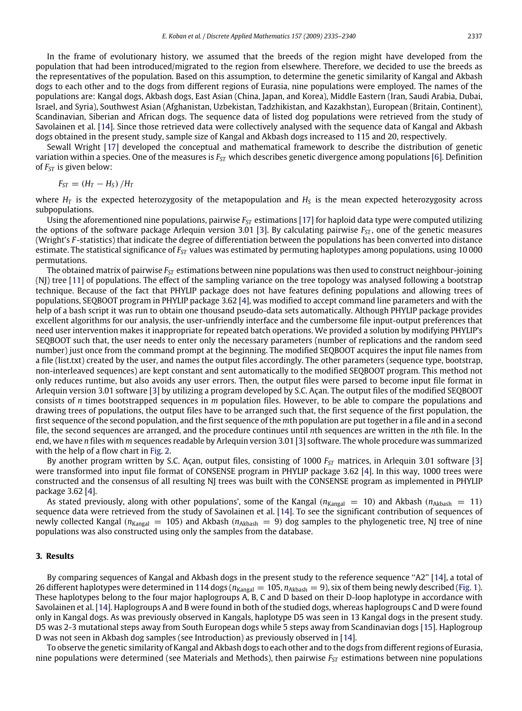In the frame of evolutionary history, we assumed that the breeds of the region might have developed from the population that had been introduced/migrated to the region from elsewhere. Therefore, we decided to use the breeds as the representatives of the population. Based on this assumption, to determine the genetic similarity of Kangal and Akbash dogs to each other and to the dogs from different regions of Eurasia, nine populations were employed. The names of the populations are: Kangal dogs, Akbash dogs, East Asian (China, Japan, and Korea), Middle Eastern (Iran, Saudi Arabia, Dubai, Israel, and Syria), Southwest Asian (Afghanistan, Uzbekistan, Tadzhikistan, and Kazakhstan), European (Britain, Continent), Scandinavian, Siberian and African dogs. The sequence data of listed dog populations were retrieved from the study of Savolainen et al. [\[14\]](#page-5-4). Since those retrieved data were collectively analysed with the sequence data of Kangal and Akbash dogs obtained in the present study, sample size of Kangal and Akbash dogs increased to 115 and 20, respectively.

Sewall Wright [\[17\]](#page-5-11) developed the conceptual and mathematical framework to describe the distribution of genetic variation within a species. One of the measures is *FST* which describes genetic divergence among populations [\[6\]](#page-5-12). Definition of *FST* is given below:

$$
F_{ST} = (H_T - H_S) / H_T
$$

where  $H_T$  is the expected heterozygosity of the metapopulation and  $H_S$  is the mean expected heterozygosity across subpopulations.

Using the aforementioned nine populations, pairwise *FST* estimations [\[17\]](#page-5-11) for haploid data type were computed utilizing the options of the software package Arlequin version 3.01 [\[3\]](#page-5-13). By calculating pairwise *FST* , one of the genetic measures (Wright's *F* -statistics) that indicate the degree of differentiation between the populations has been converted into distance estimate. The statistical significance of *FST* values was estimated by permuting haplotypes among populations, using 10 000 permutations.

The obtained matrix of pairwise *FST* estimations between nine populations was then used to construct neighbour-joining (NJ) tree [\[11\]](#page-5-14) of populations. The effect of the sampling variance on the tree topology was analysed following a bootstrap technique. Because of the fact that PHYLIP package does not have features defining populations and allowing trees of populations, SEQBOOT program in PHYLIP package 3.62 [\[4\]](#page-5-15), was modified to accept command line parameters and with the help of a bash script it was run to obtain one thousand pseudo-data sets automatically. Although PHYLIP package provides excellent algorithms for our analysis, the user-unfriendly interface and the cumbersome file input-output preferences that need user intervention makes it inappropriate for repeated batch operations. We provided a solution by modifying PHYLIP's SEQBOOT such that, the user needs to enter only the necessary parameters (number of replications and the random seed number) just once from the command prompt at the beginning. The modified SEQBOOT acquires the input file names from a file (list.txt) created by the user, and names the output files accordingly. The other parameters (sequence type, bootstrap, non-interleaved sequences) are kept constant and sent automatically to the modified SEQBOOT program. This method not only reduces runtime, but also avoids any user errors. Then, the output files were parsed to become input file format in Arlequin version 3.01 software [\[3\]](#page-5-13) by utilizing a program developed by S.C. Açan. The output files of the modified SEQBOOT consists of *n* times bootstrapped sequences in *m* population files. However, to be able to compare the populations and drawing trees of populations, the output files have to be arranged such that, the first sequence of the first population, the first sequence of the second population, and the first sequence of the *m*th population are put together in a file and in a second file, the second sequences are arranged, and the procedure continues until *n*th sequences are written in the *n*th file. In the end, we have *n* files with *m* sequences readable by Arlequin version 3.01 [\[3\]](#page-5-13) software. The whole procedure was summarized with the help of a flow chart in [Fig. 2.](#page-3-0)

By another program written by S.C. Açan, output files, consisting of 1000 *FST* matrices, in Arlequin 3.01 software [\[3\]](#page-5-13) were transformed into input file format of CONSENSE program in PHYLIP package 3.62 [\[4\]](#page-5-15). In this way, 1000 trees were constructed and the consensus of all resulting NJ trees was built with the CONSENSE program as implemented in PHYLIP package 3.62 [\[4\]](#page-5-15).

As stated previously, along with other populations', some of the Kangal  $(n_{Kangal} = 10)$  and Akbash  $(n_{Akbar} = 11)$ sequence data were retrieved from the study of Savolainen et al. [\[14\]](#page-5-4). To see the significant contribution of sequences of newly collected Kangal ( $n_{Kangal}$  = 105) and Akbash ( $n_{Akbash}$  = 9) dog samples to the phylogenetic tree, NJ tree of nine populations was also constructed using only the samples from the database.

### **3. Results**

By comparing sequences of Kangal and Akbash dogs in the present study to the reference sequence "A2" [\[14\]](#page-5-4), a total of 26 different haplotypes were determined in 114 dogs ( $n_{Kangal} = 105$ ,  $n_{Akbash} = 9$ ), six of them being newly described [\(Fig. 1\)](#page-1-0). These haplotypes belong to the four major haplogroups A, B, C and D based on their D-loop haplotype in accordance with Savolainen et al. [\[14\]](#page-5-4). Haplogroups A and B were found in both of the studied dogs, whereas haplogroups C and D were found only in Kangal dogs. As was previously observed in Kangals, haplotype D5 was seen in 13 Kangal dogs in the present study. D5 was 2-3 mutational steps away from South European dogs while 5 steps away from Scandinavian dogs [\[15\]](#page-5-3). Haplogroup D was not seen in Akbash dog samples (see Introduction) as previously observed in [\[14\]](#page-5-4).

To observe the genetic similarity of Kangal and Akbash dogs to each other and to the dogs from different regions of Eurasia, nine populations were determined (see Materials and Methods), then pairwise *FST* estimations between nine populations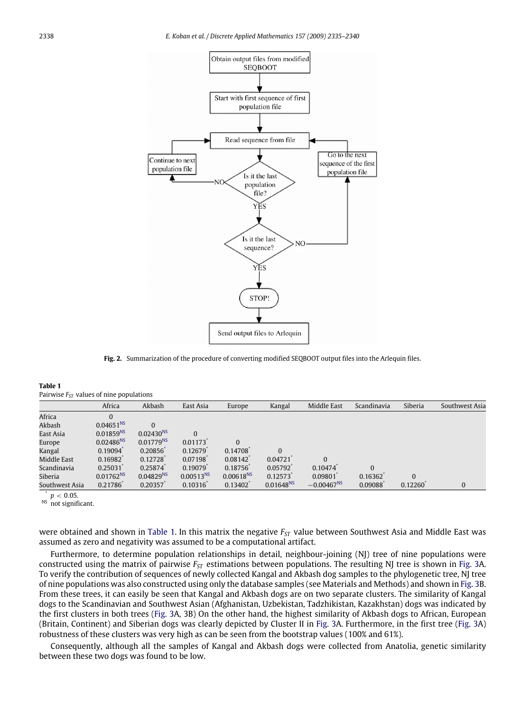<span id="page-3-0"></span>

**Fig. 2.** Summarization of the procedure of converting modified SEQBOOT output files into the Arlequin files.

<span id="page-3-3"></span>

| Table 1                                      |
|----------------------------------------------|
| Pairwise $F_{ST}$ values of nine populations |

|                | Africa                | Akbash         | East Asia      | Europe         | Kangal         | Middle East     | Scandinavia | Siberia  | Southwest Asia |
|----------------|-----------------------|----------------|----------------|----------------|----------------|-----------------|-------------|----------|----------------|
| Africa         | $\overline{0}$        |                |                |                |                |                 |             |          |                |
| Akbash         | $0.04651^{NS}$        |                |                |                |                |                 |             |          |                |
| East Asia      | 0.01859 <sup>NS</sup> | $0.02430^{NS}$ | $\Omega$       |                |                |                 |             |          |                |
| Europe         | $0.02486^{NS}$        | $0.01779^{NS}$ | 0.01173        | $\Omega$       |                |                 |             |          |                |
| Kangal         | 0.19094               | 0.20856        | 0.12679        | 0.14708        | $\mathbf{0}$   |                 |             |          |                |
| Middle East    | 0.16982               | 0.12728        | 0.07198        | 0.08142        | 0.04721        | $\Omega$        |             |          |                |
| Scandinavia    | 0.25031               | 0.25874        | 0.19079        | 0.18756        | 0.05792        | 0.10474         | $\Omega$    |          |                |
| Siberia        | $0.01762^{NS}$        | $0.04829^{NS}$ | $0.00513^{NS}$ | $0.00618^{NS}$ | 0.12573        | 0.09801         | 0.16362     | $\Omega$ |                |
| Southwest Asia | 0.21786               | 0.20357        | 0.10316        | 0.13402        | $0.01648^{NS}$ | $-0.00467^{NS}$ | 0.09088     | 0.12260' |                |

<span id="page-3-2"></span>\*  $p < 0.05$ .

<span id="page-3-1"></span><sup>NS</sup> not significant.

were obtained and shown in [Table 1.](#page-3-3) In this matrix the negative *FST* value between Southwest Asia and Middle East was assumed as zero and negativity was assumed to be a computational artifact.

Furthermore, to determine population relationships in detail, neighbour-joining (NJ) tree of nine populations were constructed using the matrix of pairwise *FST* estimations between populations. The resulting NJ tree is shown in [Fig. 3A](#page-4-0). To verify the contribution of sequences of newly collected Kangal and Akbash dog samples to the phylogenetic tree, NJ tree of nine populations was also constructed using only the database samples (see Materials and Methods) and shown in [Fig. 3B](#page-4-0). From these trees, it can easily be seen that Kangal and Akbash dogs are on two separate clusters. The similarity of Kangal dogs to the Scandinavian and Southwest Asian (Afghanistan, Uzbekistan, Tadzhikistan, Kazakhstan) dogs was indicated by the first clusters in both trees [\(Fig. 3A](#page-4-0), 3B) On the other hand, the highest similarity of Akbash dogs to African, European (Britain, Continent) and Siberian dogs was clearly depicted by Cluster II in [Fig. 3A](#page-4-0). Furthermore, in the first tree [\(Fig. 3A](#page-4-0)) robustness of these clusters was very high as can be seen from the bootstrap values (100% and 61%).

Consequently, although all the samples of Kangal and Akbash dogs were collected from Anatolia, genetic similarity between these two dogs was found to be low.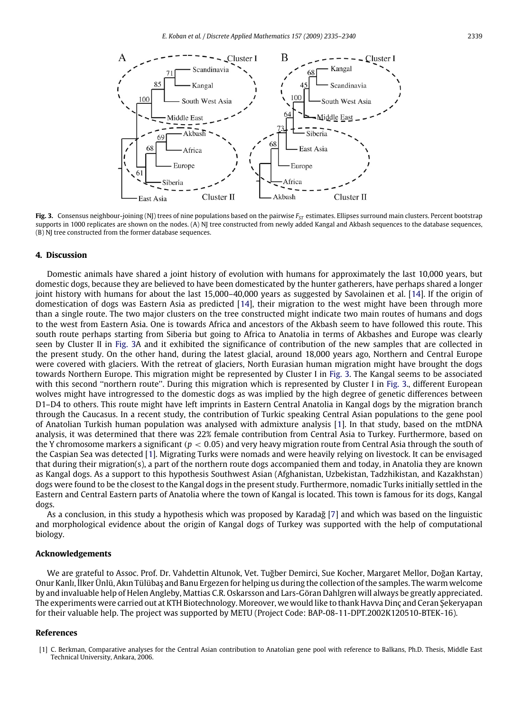<span id="page-4-0"></span>

Fig. 3. Consensus neighbour-joining (NJ) trees of nine populations based on the pairwise  $F<sub>ST</sub>$  estimates. Ellipses surround main clusters. Percent bootstrap supports in 1000 replicates are shown on the nodes. (A) NJ tree constructed from newly added Kangal and Akbash sequences to the database sequences, (B) NJ tree constructed from the former database sequences.

#### **4. Discussion**

Domestic animals have shared a joint history of evolution with humans for approximately the last 10,000 years, but domestic dogs, because they are believed to have been domesticated by the hunter gatherers, have perhaps shared a longer joint history with humans for about the last 15,000–40,000 years as suggested by Savolainen et al. [\[14\]](#page-5-4). If the origin of domestication of dogs was Eastern Asia as predicted [\[14\]](#page-5-4), their migration to the west might have been through more than a single route. The two major clusters on the tree constructed might indicate two main routes of humans and dogs to the west from Eastern Asia. One is towards Africa and ancestors of the Akbash seem to have followed this route. This south route perhaps starting from Siberia but going to Africa to Anatolia in terms of Akbashes and Europe was clearly seen by Cluster II in [Fig. 3A](#page-4-0) and it exhibited the significance of contribution of the new samples that are collected in the present study. On the other hand, during the latest glacial, around 18,000 years ago, Northern and Central Europe were covered with glaciers. With the retreat of glaciers, North Eurasian human migration might have brought the dogs towards Northern Europe. This migration might be represented by Cluster I in [Fig. 3.](#page-4-0) The Kangal seems to be associated with this second "northern route". During this migration which is represented by Cluster I in [Fig. 3.](#page-4-0), different European wolves might have introgressed to the domestic dogs as was implied by the high degree of genetic differences between D1–D4 to others. This route might have left imprints in Eastern Central Anatolia in Kangal dogs by the migration branch through the Caucasus. In a recent study, the contribution of Turkic speaking Central Asian populations to the gene pool of Anatolian Turkish human population was analysed with admixture analysis [\[1\]](#page-4-1). In that study, based on the mtDNA analysis, it was determined that there was 22% female contribution from Central Asia to Turkey. Furthermore, based on the Y chromosome markers a significant (*p* < 0.05) and very heavy migration route from Central Asia through the south of the Caspian Sea was detected [\[1\]](#page-4-1). Migrating Turks were nomads and were heavily relying on livestock. It can be envisaged that during their migration(s), a part of the northern route dogs accompanied them and today, in Anatolia they are known as Kangal dogs. As a support to this hypothesis Southwest Asian (Afghanistan, Uzbekistan, Tadzhikistan, and Kazakhstan) dogs were found to be the closest to the Kangal dogs in the present study. Furthermore, nomadic Turks initially settled in the Eastern and Central Eastern parts of Anatolia where the town of Kangal is located. This town is famous for its dogs, Kangal dogs.

As a conclusion, in this study a hypothesis which was proposed by Karadağ [\[7\]](#page-5-1) and which was based on the linguistic and morphological evidence about the origin of Kangal dogs of Turkey was supported with the help of computational biology.

#### **Acknowledgements**

We are grateful to Assoc. Prof. Dr. Vahdettin Altunok, Vet. Tuğber Demirci, Sue Kocher, Margaret Mellor, Doğan Kartay, Onur Kanl*ı*, İlker Ünlü, Akın Tülübaş and Banu Ergezen for helping us during the collection of the samples. The warm welcome by and invaluable help of Helen Angleby, Mattias C.R. Oskarsson and Lars-Göran Dahlgren will always be greatly appreciated. The experiments were carried out at KTH Biotechnology. Moreover, we would like to thank Havva Dinç and Ceran Şekeryapan for their valuable help. The project was supported by METU (Project Code: BAP-08-11-DPT.2002K120510-BTEK-16).

#### **References**

<span id="page-4-1"></span><sup>[1]</sup> C. Berkman, Comparative analyses for the Central Asian contribution to Anatolian gene pool with reference to Balkans, Ph.D. Thesis, Middle East Technical University, Ankara, 2006.